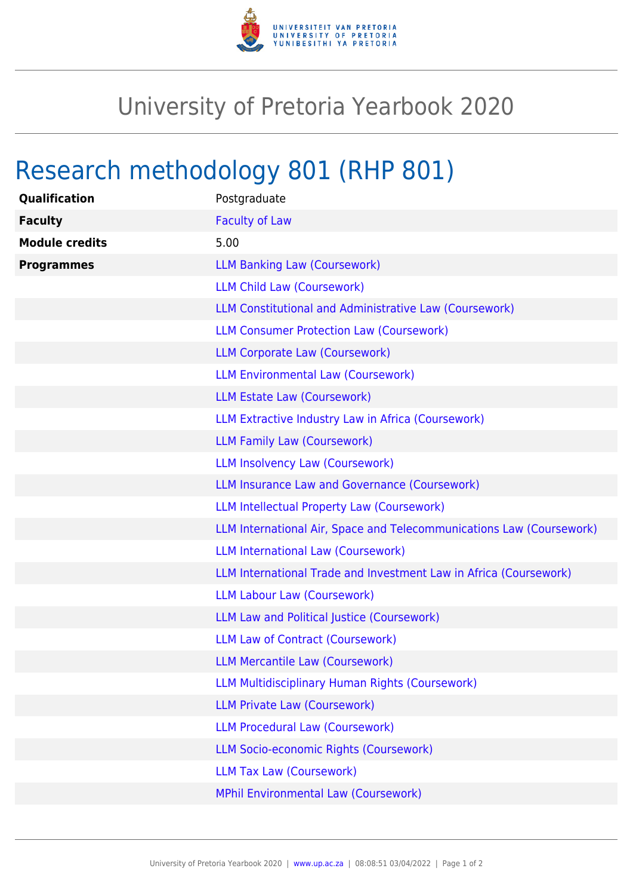

## University of Pretoria Yearbook 2020

## Research methodology 801 (RHP 801)

| <b>Qualification</b>  | Postgraduate                                                         |
|-----------------------|----------------------------------------------------------------------|
| <b>Faculty</b>        | <b>Faculty of Law</b>                                                |
| <b>Module credits</b> | 5.00                                                                 |
| <b>Programmes</b>     | <b>LLM Banking Law (Coursework)</b>                                  |
|                       | <b>LLM Child Law (Coursework)</b>                                    |
|                       | LLM Constitutional and Administrative Law (Coursework)               |
|                       | <b>LLM Consumer Protection Law (Coursework)</b>                      |
|                       | <b>LLM Corporate Law (Coursework)</b>                                |
|                       | <b>LLM Environmental Law (Coursework)</b>                            |
|                       | LLM Estate Law (Coursework)                                          |
|                       | LLM Extractive Industry Law in Africa (Coursework)                   |
|                       | <b>LLM Family Law (Coursework)</b>                                   |
|                       | <b>LLM Insolvency Law (Coursework)</b>                               |
|                       | <b>LLM Insurance Law and Governance (Coursework)</b>                 |
|                       | <b>LLM Intellectual Property Law (Coursework)</b>                    |
|                       | LLM International Air, Space and Telecommunications Law (Coursework) |
|                       | <b>LLM International Law (Coursework)</b>                            |
|                       | LLM International Trade and Investment Law in Africa (Coursework)    |
|                       | <b>LLM Labour Law (Coursework)</b>                                   |
|                       | LLM Law and Political Justice (Coursework)                           |
|                       | <b>LLM Law of Contract (Coursework)</b>                              |
|                       | <b>LLM Mercantile Law (Coursework)</b>                               |
|                       | <b>LLM Multidisciplinary Human Rights (Coursework)</b>               |
|                       | <b>LLM Private Law (Coursework)</b>                                  |
|                       | <b>LLM Procedural Law (Coursework)</b>                               |
|                       | LLM Socio-economic Rights (Coursework)                               |
|                       | <b>LLM Tax Law (Coursework)</b>                                      |
|                       | <b>MPhil Environmental Law (Coursework)</b>                          |
|                       |                                                                      |